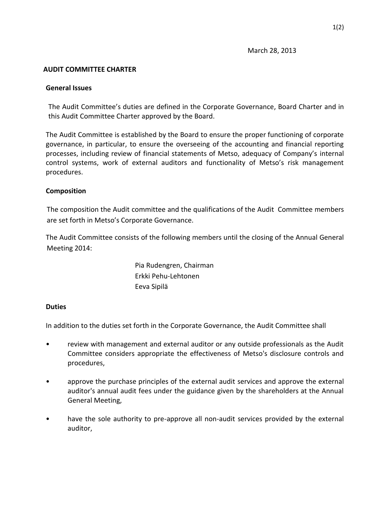### **AUDIT COMMITTEE CHARTER**

### **General Issues**

The Audit Committee's duties are defined in the Corporate Governance, Board Charter and in this Audit Committee Charter approved by the Board.

The Audit Committee is established by the Board to ensure the proper functioning of corporate governance, in particular, to ensure the overseeing of the accounting and financial reporting processes, including review of financial statements of Metso, adequacy of Company's internal control systems, work of external auditors and functionality of Metso's risk management procedures.

## **Composition**

The composition the Audit committee and the qualifications of the Audit Committee members are set forth in Metso's Corporate Governance.

The Audit Committee consists of the following members until the closing of the Annual General Meeting 2014:

> Pia Rudengren, Chairman Erkki Pehu-Lehtonen Eeva Sipilä

#### **Duties**

In addition to the duties set forth in the Corporate Governance, the Audit Committee shall

- review with management and external auditor or any outside professionals as the Audit Committee considers appropriate the effectiveness of Metso's disclosure controls and procedures,
- approve the purchase principles of the external audit services and approve the external auditor's annual audit fees under the guidance given by the shareholders at the Annual General Meeting,
- have the sole authority to pre-approve all non-audit services provided by the external auditor,